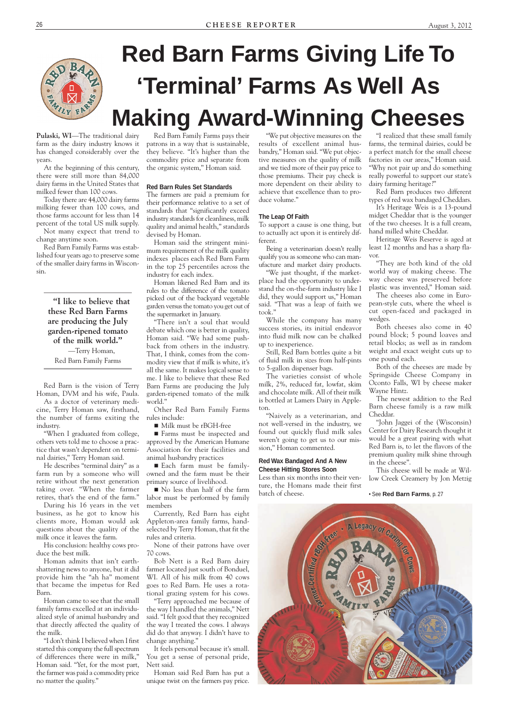

# **Red Barn Farms Giving Life To 'Terminal' Farms As Well As Making Award-Winning Cheeses**

**Pulaski, WI**—The traditional dairy farm as the dairy industry knows it has changed considerably over the years.

At the beginning of this century, there were still more than 84,000 dairy farms in the United States that milked fewer than 100 cows.

Today there are 44,000 dairy farms milking fewer than 100 cows, and those farms account for less than 14 percent of the total US milk supply.

Not many expect that trend to change anytime soon.

Red Barn Family Farms was established four years ago to preserve some of the smaller dairy farms in Wisconsin.

> **"I like to believe that these Red Barn Farms are producing the July garden-ripened tomato of the milk world."**

—Terry Homan, Red Barn Family Farms

Red Barn is the vision of Terry Homan, DVM and his wife, Paula.

As a doctor of veterinary medicine, Terry Homan saw, firsthand, the number of farms exiting the industry.

"When I graduated from college, others vets told me to choose a practice that wasn't dependent on terminal dairies," Terry Homan said.

He describes "terminal dairy" as a farm run by a someone who will retire without the next generation taking over. "When the farmer retires, that's the end of the farm."

During his 16 years in the vet business, as he got to know his clients more, Homan would ask questions about the quality of the milk once it leaves the farm.

His conclusion: healthy cows pro-

duce the best milk.

Homan admits that isn't earthshattering news to anyone, but it did provide him the "ah ha" moment that became the impetus for Red Barn.

Each farm must be familyowned and the farm must be their primary source of livelihood.

Homan came to see that the small family farms excelled at an individualized style of animal husbandry and that directly affected the quality of the milk.

"I don't think I believed when I first started this company the full spectrum of differences there were in milk," Homan said. "Yet, for the most part, the farmer was paid a commodity price no matter the quality."

Red Barn Family Farms pays their patrons in a way that is sustainable, they believe. "It's higher than the commodity price and separate from the organic system," Homan said.

## **Red Barn Rules Set Standards**

The farmers are paid a premium for their performance relative to a set of standards that "significantly exceed industry standards for cleanliness, milk quality and animal health," standards devised by Homan.

Homan said the stringent minimum requirement of the milk quality indexes places each Red Barn Farm in the top 25 percentiles across the industry for each index.

Homan likened Red Barn and its rules to the difference of the tomato picked out of the backyard vegetable garden versus the tomato you get out of the supermarket in January.

"There isn't a soul that would debate which one is better in quality, Homan said. "We had some pushback from others in the industry. That, I think, comes from the commodity view that if milk is white, it's all the same. It makes logical sense to me. I like to believe that these Red Barn Farms are producing the July garden-ripened tomato of the milk world."

Other Red Barn Family Farms rules include:

■ Milk must be rBGH-free

 Farms must be inspected and approved by the American Humane Association for their facilities and animal husbandry practices

 No less than half of the farm labor must be performed by family members

Currently, Red Barn has eight Appleton-area family farms, handselected by Terry Homan, that fit the rules and criteria.

None of their patrons have over

70 cows.

Bob Nett is a Red Barn dairy farmer located just south of Bonduel, WI. All of his milk from 40 cows goes to Red Barn. He uses a rotational grazing system for his cows. "Terry approached me because of the way I handled the animals," Nett said. "I felt good that they recognized the way I treated the cows. I always did do that anyway. I didn't have to change anything."

It feels personal because it's small. You get a sense of personal pride, Nett said.

Homan said Red Barn has put a unique twist on the farmers pay price.



"We put objective measures on the results of excellent animal husbandry," Homan said. "We put objective measures on the quality of milk and we tied more of their pay price to those premiums. Their pay check is more dependent on their ability to achieve that excellence than to produce volume."

### **The Leap Of Faith**

To support a cause is one thing, but to actually act upon it is entirely different.

Being a veterinarian doesn't really qualify you as someone who can manufacture and market dairy products.

"We just thought, if the marketplace had the opportunity to understand the on-the-farm industry like I did, they would support us," Homan said. "That was a leap of faith we took."

While the company has many success stories, its initial endeavor into fluid milk now can be chalked up to inexperience.

Still, Red Barn bottles quite a bit of fluid milk in sizes from half-pints to 5-gallon dispenser bags.

The varieties consist of whole milk, 2%, reduced fat, lowfat, skim and chocolate milk. All of their milk is bottled at Lamers Dairy in Appleton.

"Naively as a veterinarian, and not well-versed in the industry, we found out quickly fluid milk sales weren't going to get us to our mission," Homan commented.

## **Red Wax Bandaged And A New Cheese Hitting Stores Soon**

Less than six months into their venture, the Homans made their first batch of cheese.

"I realized that these small family farms, the terminal dairies, could be a perfect match for the small cheese factories in our areas," Homan said. "Why not pair up and do something really powerful to support our state's dairy farming heritage?"

Red Barn produces two different types of red wax bandaged Cheddars.

It's Heritage Weis is a 13-pound midget Cheddar that is the younger of the two cheeses. It is a full cream, hand milled white Cheddar.

Heritage Weis Reserve is aged at least 12 months and has a sharp flavor.

"They are both kind of the old world way of making cheese. The way cheese was preserved before plastic was invented," Homan said.

The cheeses also come in European-style cuts, where the wheel is cut open-faced and packaged in wedges.

Both cheeses also come in 40 pound block; 5 pound loaves and retail blocks; as well as in random weight and exact weight cuts up to one pound each.

Both of the cheeses are made by Springside Cheese Company in Oconto Falls, WI by cheese maker Wayne Hintz.

The newest addition to the Red Barn cheese family is a raw milk Cheddar.

"John Jaggei of the (Wisconsin) Center for Dairy Research thought it would be a great pairing with what Red Barn is, to let the flavors of the premium quality milk shine through in the cheese".

This cheese will be made at Willow Creek Creamery by Jon Metzig

#### • See **Red Barn Farms**, p. 27